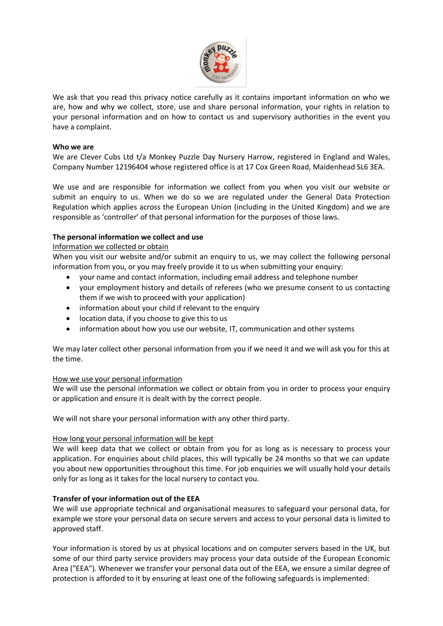

We ask that you read this privacy notice carefully as it contains important information on who we are, how and why we collect, store, use and share personal information, your rights in relation to your personal information and on how to contact us and supervisory authorities in the event you have a complaint.

### **Who we are**

We are Clever Cubs Ltd t/a Monkey Puzzle Day Nursery Harrow, registered in England and Wales, Company Number 12196404 whose registered office is at 17 Cox Green Road, Maidenhead SL6 3EA.

We use and are responsible for information we collect from you when you visit our website or submit an enquiry to us. When we do so we are regulated under the General Data Protection Regulation which applies across the European Union (including in the United Kingdom) and we are responsible as 'controller' of that personal information for the purposes of those laws.

# **The personal information we collect and use**

### Information we collected or obtain

When you visit our website and/or submit an enquiry to us, we may collect the following personal information from you, or you may freely provide it to us when submitting your enquiry:

- your name and contact information, including email address and telephone number
- your employment history and details of referees (who we presume consent to us contacting them if we wish to proceed with your application)
- information about your child if relevant to the enquiry
- location data, if you choose to give this to us
- information about how you use our website, IT, communication and other systems

We may later collect other personal information from you if we need it and we will ask you for this at the time.

# How we use your personal information

We will use the personal information we collect or obtain from you in order to process your enquiry or application and ensure it is dealt with by the correct people.

We will not share your personal information with any other third party.

### How long your personal information will be kept

We will keep data that we collect or obtain from you for as long as is necessary to process your application. For enquiries about child places, this will typically be 24 months so that we can update you about new opportunities throughout this time. For job enquiries we will usually hold your details only for as long as it takes for the local nursery to contact you.

# **Transfer of your information out of the EEA**

We will use appropriate technical and organisational measures to safeguard your personal data, for example we store your personal data on secure servers and access to your personal data is limited to approved staff.

Your information is stored by us at physical locations and on computer servers based in the UK, but some of our third party service providers may process your data outside of the European Economic Area ("EEA"). Whenever we transfer your personal data out of the EEA, we ensure a similar degree of protection is afforded to it by ensuring at least one of the following safeguards is implemented: